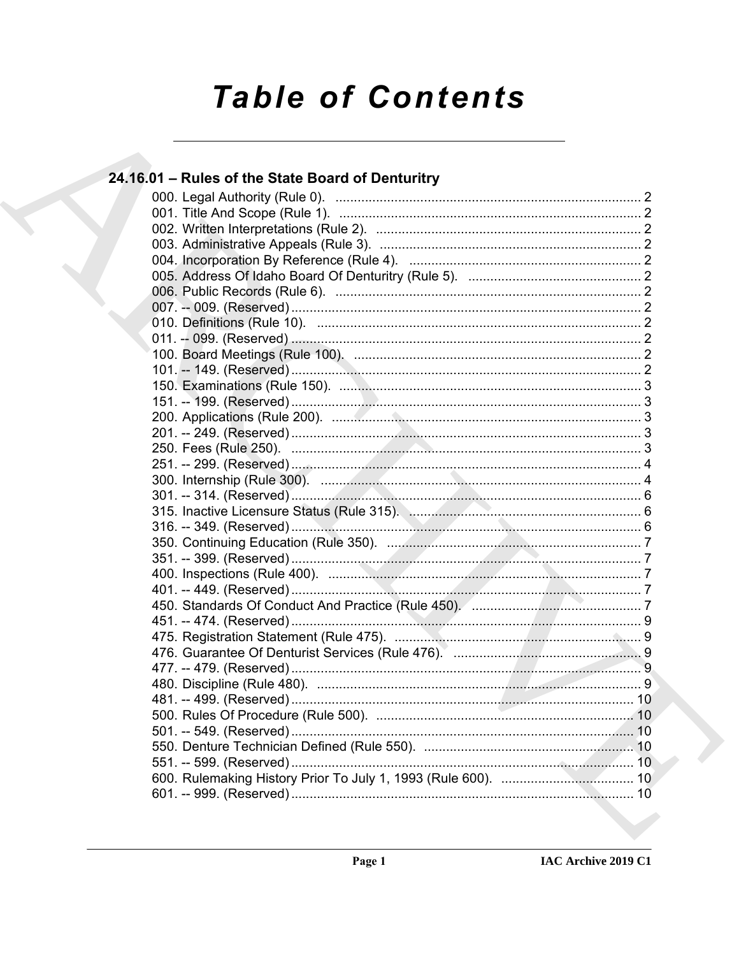# **Table of Contents**

## 24.16.01 – Rules of the State Board of Denturitry 315. Inactive Licensure Status (Rule 315). Manhamman Manhamman 6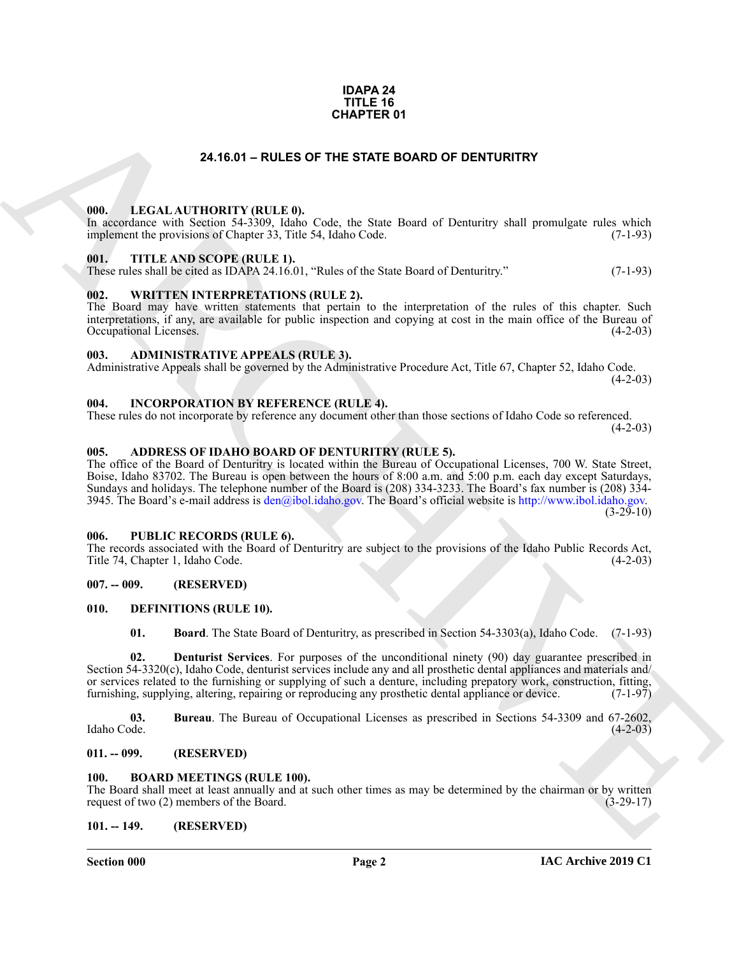#### **IDAPA 24 TITLE 16 CHAPTER 01**

#### **24.16.01 – RULES OF THE STATE BOARD OF DENTURITRY**

#### <span id="page-1-22"></span><span id="page-1-1"></span><span id="page-1-0"></span>**000. LEGAL AUTHORITY (RULE 0).**

In accordance with Section 54-3309, Idaho Code, the State Board of Denturitry shall promulgate rules which implement the provisions of Chapter 33, Title 54, Idaho Code. (7-1-93)

#### <span id="page-1-24"></span><span id="page-1-2"></span>**001. TITLE AND SCOPE (RULE 1).**

These rules shall be cited as IDAPA 24.16.01, "Rules of the State Board of Denturitry." (7-1-93)

#### <span id="page-1-25"></span><span id="page-1-3"></span>**002. WRITTEN INTERPRETATIONS (RULE 2).**

The Board may have written statements that pertain to the interpretation of the rules of this chapter. Such interpretations, if any, are available for public inspection and copying at cost in the main office of the Bureau of Occupational Licenses.

#### <span id="page-1-14"></span><span id="page-1-4"></span>**003. ADMINISTRATIVE APPEALS (RULE 3).**

Administrative Appeals shall be governed by the Administrative Procedure Act, Title 67, Chapter 52, Idaho Code.  $(4-2-03)$ 

#### <span id="page-1-21"></span><span id="page-1-5"></span>**004. INCORPORATION BY REFERENCE (RULE 4).**

These rules do not incorporate by reference any document other than those sections of Idaho Code so referenced.  $(4-2-03)$ 

#### <span id="page-1-13"></span><span id="page-1-6"></span>**005. ADDRESS OF IDAHO BOARD OF DENTURITRY (RULE 5).**

**[CH](mailto:den@ibol.idaho.gov)APTER 01**<br> **CHARCHIVE CONTROLLY** (EUTROPIA) C. Cole, the State Board of Dentarity shall promile<br>to the LEGAL AUTHOMPTONICES (A) Cole, the State Board of Dentarity shall promile<br>to the Charchive Cole (1997). THE AND SCO The office of the Board of Denturitry is located within the Bureau of Occupational Licenses, 700 W. State Street, Boise, Idaho 83702. The Bureau is open between the hours of 8:00 a.m. and 5:00 p.m. each day except Saturdays, Sundays and holidays. The telephone number of the Board is (208) 334-3233. The Board's fax number is (208) 334- 3945. The Board's e-mail address is  $den@ibol.idaho.gov$ . The Board's official website is http://www.ibol.idaho.gov.  $(3-29-10)$ 

#### <span id="page-1-23"></span><span id="page-1-7"></span>**006. PUBLIC RECORDS (RULE 6).**

The records associated with the Board of Denturitry are subject to the provisions of the Idaho Public Records Act, Title 74, Chapter 1, Idaho Code. (4-2-03)

#### <span id="page-1-8"></span>**007. -- 009. (RESERVED)**

#### <span id="page-1-9"></span>**010. DEFINITIONS (RULE 10).**

<span id="page-1-20"></span><span id="page-1-19"></span><span id="page-1-18"></span><span id="page-1-17"></span>**01. Board**. The State Board of Denturitry, as prescribed in Section 54-3303(a), Idaho Code. (7-1-93)

**02. Denturist Services**. For purposes of the unconditional ninety (90) day guarantee prescribed in Section 54-3320(c), Idaho Code, denturist services include any and all prosthetic dental appliances and materials and/ or services related to the furnishing or supplying of such a denture, including prepatory work, construction, fitting, furnishing, supplying, altering, repairing or reproducing any prosthetic dental appliance or device. (7-1-97)

**03.** Bureau. The Bureau of Occupational Licenses as prescribed in Sections 54-3309 and 67-2602, Idaho Code. (4-2-03) Idaho Code. (4-2-03)

#### <span id="page-1-10"></span>**011. -- 099. (RESERVED)**

#### <span id="page-1-16"></span><span id="page-1-15"></span><span id="page-1-11"></span>**100. BOARD MEETINGS (RULE 100).**

The Board shall meet at least annually and at such other times as may be determined by the chairman or by written request of two (2) members of the Board. (3-29-17)

#### <span id="page-1-12"></span>**101. -- 149. (RESERVED)**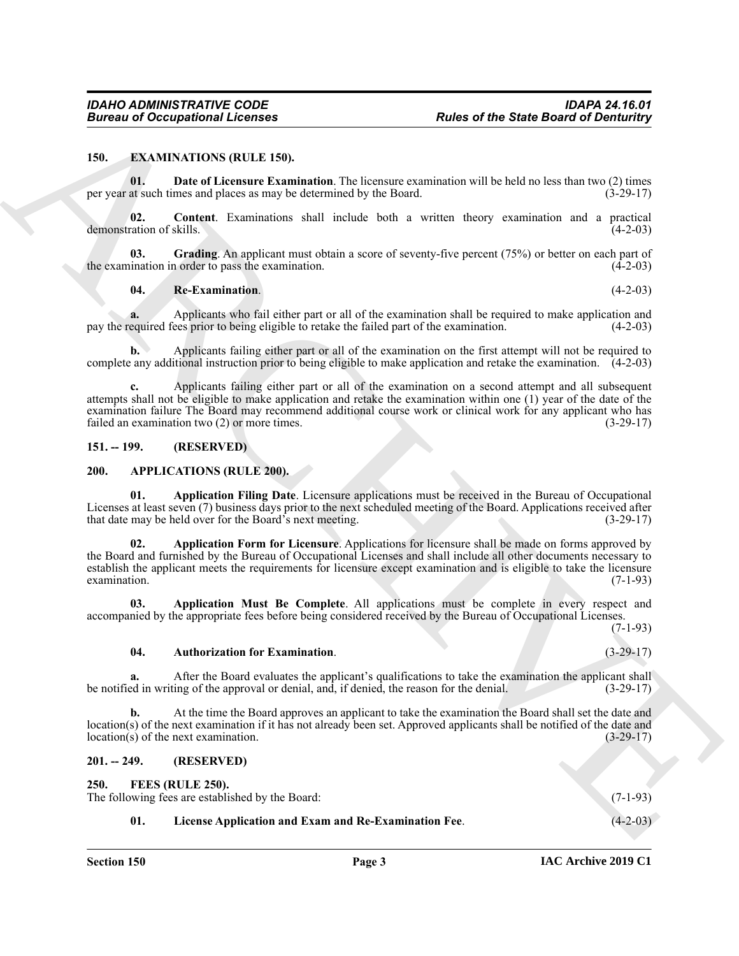#### <span id="page-2-9"></span><span id="page-2-0"></span>**150. EXAMINATIONS (RULE 150).**

<span id="page-2-11"></span>**01. Date of Licensure Examination**. The licensure examination will be held no less than two (2) times per year at such times and places as may be determined by the Board. (3-29-17)

<span id="page-2-10"></span>**02. Content**. Examinations shall include both a written theory examination and a practical demonstration of skills. (4-2-03)

**03.** Grading. An applicant must obtain a score of seventy-five percent (75%) or better on each part of ination in order to pass the examination. (4-2-03) the examination in order to pass the examination.

#### <span id="page-2-13"></span><span id="page-2-12"></span>**04. Re-Examination**. (4-2-03)

**a.** Applicants who fail either part or all of the examination shall be required to make application and equired fees prior to being eligible to retake the failed part of the examination. (4-2-03) pay the required fees prior to being eligible to retake the failed part of the examination.

**b.** Applicants failing either part or all of the examination on the first attempt will not be required to complete any additional instruction prior to being eligible to make application and retake the examination. (4-2-03)

**c.** Applicants failing either part or all of the examination on a second attempt and all subsequent attempts shall not be eligible to make application and retake the examination within one (1) year of the date of the examination failure The Board may recommend additional course work or clinical work for any applicant who has failed an examination two (2) or more times. (3-29-17)

#### <span id="page-2-5"></span><span id="page-2-1"></span>**151. -- 199. (RESERVED)**

#### <span id="page-2-2"></span>**200. APPLICATIONS (RULE 200).**

<span id="page-2-7"></span><span id="page-2-6"></span>**01. Application Filing Date**. Licensure applications must be received in the Bureau of Occupational Licenses at least seven (7) business days prior to the next scheduled meeting of the Board. Applications received after that date may be held over for the Board's next meeting. (3-29-17)

Bureau of Occupational Licensies<br>
150. EXAMPATION ROWLESS, Readers of the State Board of Deminitry<br>
150. E. Date of Licensies Examination Tax income commission will be hadden look that  $\log P$ <br>
150. C. C. C. C. C. C. C. C. **02. Application Form for Licensure**. Applications for licensure shall be made on forms approved by the Board and furnished by the Bureau of Occupational Licenses and shall include all other documents necessary to establish the applicant meets the requirements for licensure except examination and is eligible to take the licensure examination. (7-1-93)  $\alpha$  examination. (7-1-93)

**03. Application Must Be Complete**. All applications must be complete in every respect and accompanied by the appropriate fees before being considered received by the Bureau of Occupational Licenses. (7-1-93)

#### <span id="page-2-8"></span>**04. Authorization for Examination**. (3-29-17)

**a.** After the Board evaluates the applicant's qualifications to take the examination the applicant shall ed in writing of the approval or denial, and, if denied, the reason for the denial. (3-29-17) be notified in writing of the approval or denial, and, if denied, the reason for the denial.

**b.** At the time the Board approves an applicant to take the examination the Board shall set the date and location(s) of the next examination if it has not already been set. Approved applicants shall be notified of the date and location(s) of the next examination.  $(3-29-17)$  $location(s)$  of the next examination.

#### <span id="page-2-3"></span>**201. -- 249. (RESERVED)**

<span id="page-2-15"></span><span id="page-2-14"></span>**250. FEES (RULE 250).**

<span id="page-2-4"></span>

| 250. L                                           | FEES (RULE 250).                                     |            |  |  |
|--------------------------------------------------|------------------------------------------------------|------------|--|--|
| The following fees are established by the Board: |                                                      |            |  |  |
|                                                  | License Application and Exam and Re-Examination Fee. | $(4-2-03)$ |  |  |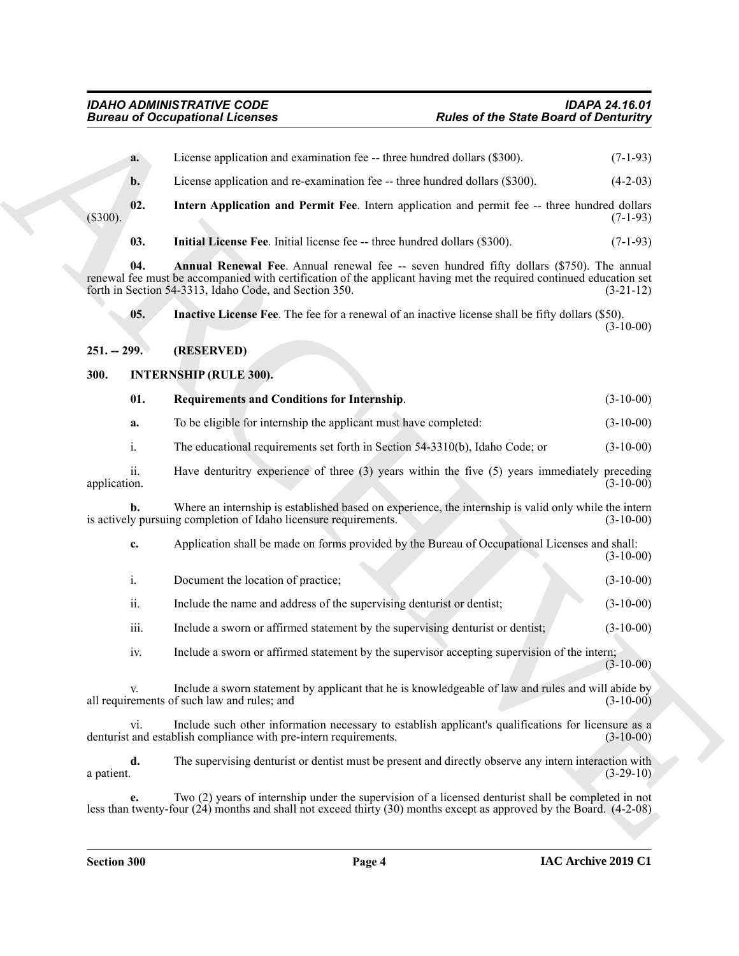<span id="page-3-7"></span><span id="page-3-6"></span><span id="page-3-5"></span><span id="page-3-4"></span><span id="page-3-3"></span><span id="page-3-2"></span><span id="page-3-1"></span><span id="page-3-0"></span>**Eurons of Occupational Licensies**<br> **ARCHIVE STATE ART (ANDERS CONTRACT ART (ANDERS)**<br> **ARCHIVE STATE ART (ANDERS CONTRACT ART (ANDERS)**<br> **ARCHIVE STATE ART (ANDERS CONTRACT ART (ANDERS)**<br> **ARCHIVE STATE ART (ANDERS CONTR a.** License application and examination fee -- three hundred dollars (\$300). (7-1-93) **b.** License application and re-examination fee -- three hundred dollars (\$300). (4-2-03) **02. Intern Application and Permit Fee**. Intern application and permit fee -- three hundred dollars (\$300). (7-1-93) **03.** Initial License Fee. Initial license fee -- three hundred dollars (\$300). (7-1-93) **04.** Annual Renewal Fee. Annual renewal fee -- seven hundred fifty dollars (\$750). The annual renewal fee must be accompanied with certification of the applicant having met the required continued education set forth in Section 54-3313, Idaho Code, and Section 350. (3-21-12) forth in Section 54-3313, Idaho Code, and Section 350. **05. Inactive License Fee**. The fee for a renewal of an inactive license shall be fifty dollars (\$50).  $(3-10-00)$ **251. -- 299. (RESERVED) 300. INTERNSHIP (RULE 300). 01. Requirements and Conditions for Internship**. (3-10-00) **a.** To be eligible for internship the applicant must have completed: (3-10-00) i. The educational requirements set forth in Section 54-3310(b), Idaho Code; or (3-10-00) ii. Have denturitry experience of three (3) years within the five (5) years immediately preceding application. (3-10-00) application. (3-10-00) **b.** Where an internship is established based on experience, the internship is valid only while the intern is actively pursuing completion of Idaho licensure requirements. (3-10-00) **c.** Application shall be made on forms provided by the Bureau of Occupational Licenses and shall: (3-10-00) i. Document the location of practice; (3-10-00) ii. Include the name and address of the supervising denturist or dentist; (3-10-00) iii. Include a sworn or affirmed statement by the supervising denturist or dentist;  $(3-10-00)$ iv. Include a sworn or affirmed statement by the supervisor accepting supervision of the intern;  $(3-10-00)$ Include a sworn statement by applicant that he is knowledgeable of law and rules and will abide by all requirements of such law and rules; and (3-10-00) vi. Include such other information necessary to establish applicant's qualifications for licensure as a and establish compliance with pre-intern requirements. (3-10-00) denturist and establish compliance with pre-intern requirements. **d.** The supervising denturist or dentist must be present and directly observe any intern interaction with a patient.  $(3-29-10)$ 

**e.** Two (2) years of internship under the supervision of a licensed denturist shall be completed in not less than twenty-four (24) months and shall not exceed thirty (30) months except as approved by the Board. (4-2-08)

a patient.  $(3-29-10)$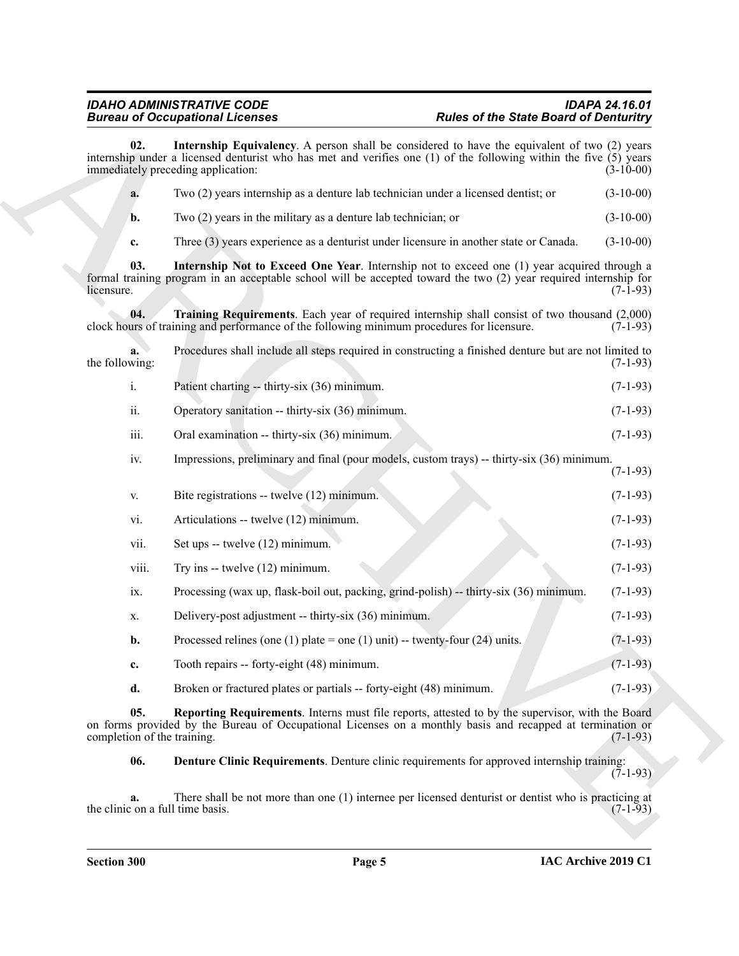<span id="page-4-4"></span><span id="page-4-2"></span><span id="page-4-1"></span>Bureau and Concerning Licensins<br>
and Concerning Licensins Applications (A posses shall be received as for each Sink of Dietariology and the state of the Sink of Dietariology and the state of the Sink of Dietariology and t **02. Internship Equivalency**. A person shall be considered to have the equivalent of two (2) years internship under a licensed denturist who has met and verifies one (1) of the following within the five (5) years immediately preceding application: (3-10-00) **a.** Two (2) years internship as a denture lab technician under a licensed dentist; or (3-10-00) **b.** Two (2) years in the military as a denture lab technician; or (3-10-00) **c.** Three (3) years experience as a denturist under licensure in another state or Canada. (3-10-00) **03. Internship Not to Exceed One Year**. Internship not to exceed one (1) year acquired through a formal training program in an acceptable school will be accepted toward the two (2) year required internship for  $l$  licensure. (7-1-93) **04. Training Requirements**. Each year of required internship shall consist of two thousand (2,000) clock hours of training and performance of the following minimum procedures for licensure. **a.** Procedures shall include all steps required in constructing a finished denture but are not limited to the following:  $(7-1-93)$ i. Patient charting -- thirty-six (36) minimum. (7-1-93) ii. Operatory sanitation -- thirty-six (36) minimum. (7-1-93) iii. Oral examination -- thirty-six (36) minimum. (7-1-93) iv. Impressions, preliminary and final (pour models, custom trays) -- thirty-six (36) minimum. (7-1-93) v. Bite registrations -- twelve (12) minimum. (7-1-93) vi. Articulations -- twelve (12) minimum. (7-1-93) vii. Set ups -- twelve  $(12)$  minimum. (7-1-93) viii. Try ins -- twelve  $(12)$  minimum. (7-1-93) ix. Processing (wax up, flask-boil out, packing, grind-polish) -- thirty-six (36) minimum. (7-1-93) x. Delivery-post adjustment -- thirty-six (36) minimum. (7-1-93) **b.** Processed relines (one (1) plate = one (1) unit) -- twenty-four (24) units.  $(7-1-93)$ **c.** Tooth repairs -- forty-eight (48) minimum. (7-1-93) **d.** Broken or fractured plates or partials -- forty-eight (48) minimum. (7-1-93)

**05. Reporting Requirements**. Interns must file reports, attested to by the supervisor, with the Board on forms provided by the Bureau of Occupational Licenses on a monthly basis and recapped at termination or completion of the training. (7-1-93) completion of the training.

<span id="page-4-3"></span><span id="page-4-0"></span>**06. Denture Clinic Requirements**. Denture clinic requirements for approved internship training:  $(7-1-93)$ 

**a.** There shall be not more than one (1) internee per licensed denturist or dentist who is practicing at  $\cos$  (7-1-93) the clinic on a full time basis.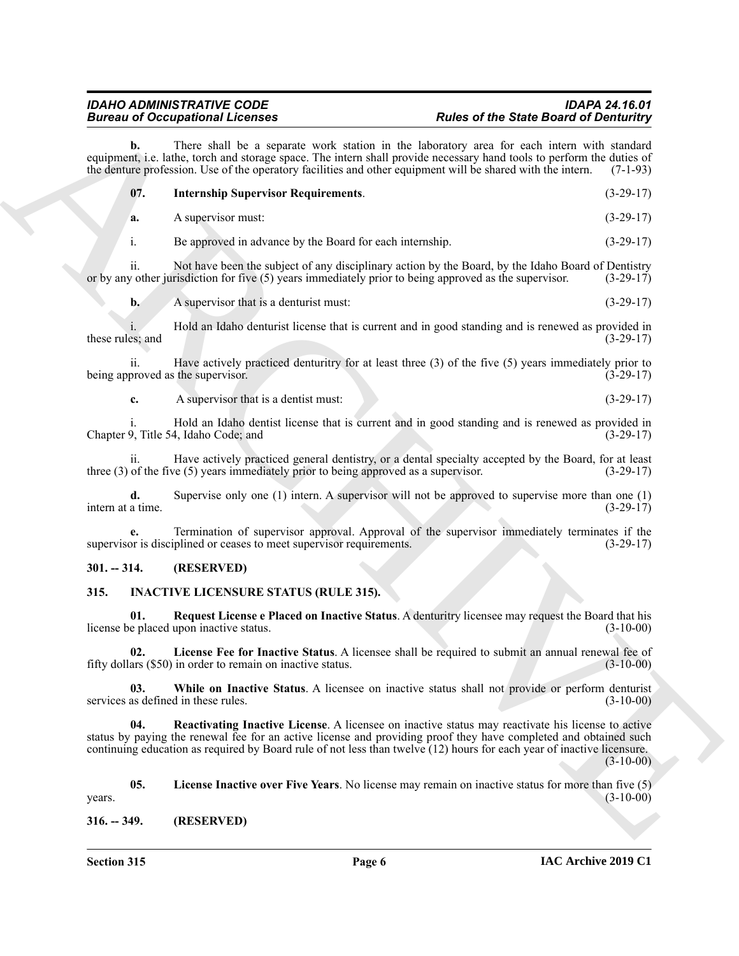<span id="page-5-9"></span>

|                         | <b>Bureau of Occupational Licenses</b>                                                                                                                                              | <b>Rules of the State Board of Denturitry</b>                                                                                                                                                                                                                                                                                                   |             |  |
|-------------------------|-------------------------------------------------------------------------------------------------------------------------------------------------------------------------------------|-------------------------------------------------------------------------------------------------------------------------------------------------------------------------------------------------------------------------------------------------------------------------------------------------------------------------------------------------|-------------|--|
| b.                      |                                                                                                                                                                                     | There shall be a separate work station in the laboratory area for each intern with standard<br>equipment, i.e. lathe, torch and storage space. The intern shall provide necessary hand tools to perform the duties of<br>the denture profession. Use of the operatory facilities and other equipment will be shared with the intern.            | $(7-1-93)$  |  |
| 07.                     | <b>Internship Supervisor Requirements.</b>                                                                                                                                          |                                                                                                                                                                                                                                                                                                                                                 | $(3-29-17)$ |  |
| a.                      | A supervisor must:                                                                                                                                                                  |                                                                                                                                                                                                                                                                                                                                                 | $(3-29-17)$ |  |
| i.                      | Be approved in advance by the Board for each internship.                                                                                                                            |                                                                                                                                                                                                                                                                                                                                                 | $(3-29-17)$ |  |
| ii.                     |                                                                                                                                                                                     | Not have been the subject of any disciplinary action by the Board, by the Idaho Board of Dentistry<br>or by any other jurisdiction for five (5) years immediately prior to being approved as the supervisor.                                                                                                                                    | $(3-29-17)$ |  |
| $\mathbf{b}$ .          | A supervisor that is a denturist must:                                                                                                                                              |                                                                                                                                                                                                                                                                                                                                                 | $(3-29-17)$ |  |
| these rules; and        |                                                                                                                                                                                     | Hold an Idaho denturist license that is current and in good standing and is renewed as provided in                                                                                                                                                                                                                                              | $(3-29-17)$ |  |
| ii.                     | being approved as the supervisor.                                                                                                                                                   | Have actively practiced denturity for at least three $(3)$ of the five $(5)$ years immediately prior to                                                                                                                                                                                                                                         | $(3-29-17)$ |  |
| c.                      | A supervisor that is a dentist must:                                                                                                                                                |                                                                                                                                                                                                                                                                                                                                                 | $(3-29-17)$ |  |
|                         | Chapter 9, Title 54, Idaho Code; and                                                                                                                                                | Hold an Idaho dentist license that is current and in good standing and is renewed as provided in                                                                                                                                                                                                                                                | $(3-29-17)$ |  |
| 11.                     | three $(3)$ of the five $(5)$ years immediately prior to being approved as a supervisor.                                                                                            | Have actively practiced general dentistry, or a dental specialty accepted by the Board, for at least                                                                                                                                                                                                                                            | $(3-29-17)$ |  |
| d.<br>intern at a time. |                                                                                                                                                                                     | Supervise only one $(1)$ intern. A supervisor will not be approved to supervise more than one $(1)$                                                                                                                                                                                                                                             | $(3-29-17)$ |  |
|                         | Termination of supervisor approval. Approval of the supervisor immediately terminates if the<br>supervisor is disciplined or ceases to meet supervisor requirements.<br>$(3-29-17)$ |                                                                                                                                                                                                                                                                                                                                                 |             |  |
| $301. - 314.$           | (RESERVED)                                                                                                                                                                          |                                                                                                                                                                                                                                                                                                                                                 |             |  |
| 315.                    | <b>INACTIVE LICENSURE STATUS (RULE 315).</b>                                                                                                                                        |                                                                                                                                                                                                                                                                                                                                                 |             |  |
| 01.                     | license be placed upon inactive status.                                                                                                                                             | Request License e Placed on Inactive Status. A denturitry licensee may request the Board that his                                                                                                                                                                                                                                               | $(3-10-00)$ |  |
|                         | fifty dollars (\$50) in order to remain on inactive status.                                                                                                                         | License Fee for Inactive Status. A licensee shall be required to submit an annual renewal fee of                                                                                                                                                                                                                                                | $(3-10-00)$ |  |
| 03.                     | services as defined in these rules.                                                                                                                                                 | While on Inactive Status. A licensee on inactive status shall not provide or perform denturist                                                                                                                                                                                                                                                  | $(3-10-00)$ |  |
| 04.                     |                                                                                                                                                                                     | Reactivating Inactive License. A licensee on inactive status may reactivate his license to active<br>status by paying the renewal fee for an active license and providing proof they have completed and obtained such<br>continuing education as required by Board rule of not less than twelve (12) hours for each year of inactive licensure. | $(3-10-00)$ |  |
| 05.<br>years.           |                                                                                                                                                                                     | License Inactive over Five Years. No license may remain on inactive status for more than five (5)                                                                                                                                                                                                                                               | $(3-10-00)$ |  |
| $316. - 349.$           | (RESERVED)                                                                                                                                                                          |                                                                                                                                                                                                                                                                                                                                                 |             |  |

#### <span id="page-5-0"></span>**301. -- 314. (RESERVED)**

#### <span id="page-5-8"></span><span id="page-5-7"></span><span id="page-5-6"></span><span id="page-5-4"></span><span id="page-5-3"></span><span id="page-5-1"></span>**315. INACTIVE LICENSURE STATUS (RULE 315).**

<span id="page-5-5"></span><span id="page-5-2"></span>**Section 315 Page 6**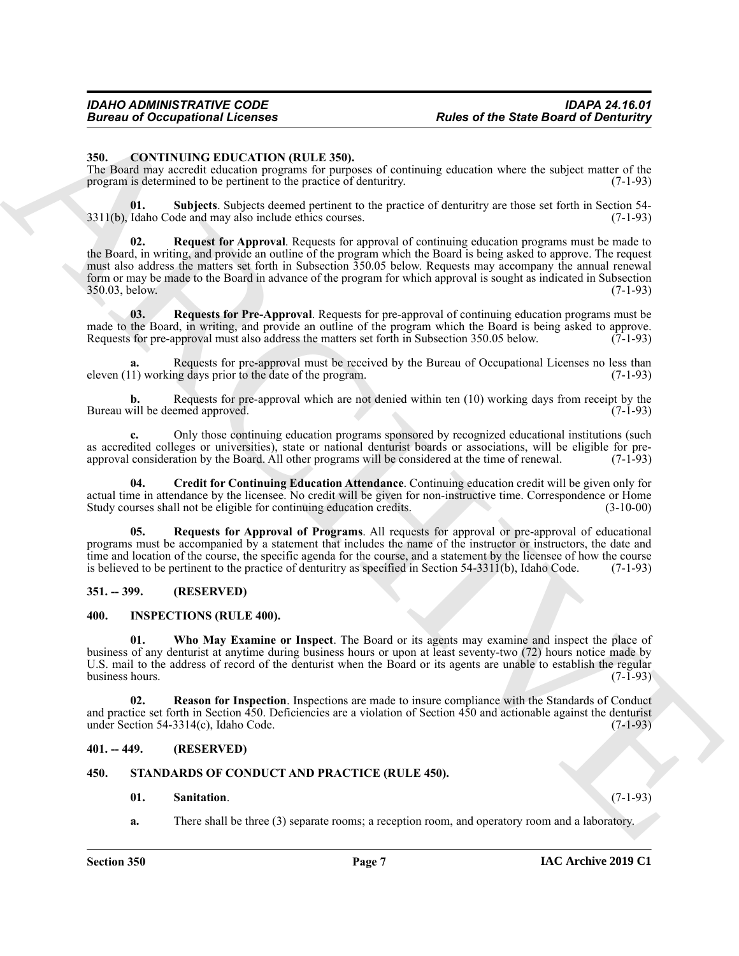#### <span id="page-6-5"></span><span id="page-6-0"></span>**350. CONTINUING EDUCATION (RULE 350).**

The Board may accredit education programs for purposes of continuing education where the subject matter of the program is determined to be pertinent to the practice of denturitry. (7-1-93)

<span id="page-6-10"></span><span id="page-6-7"></span>**01. Subjects**. Subjects deemed pertinent to the practice of denturitry are those set forth in Section 54-  $3311(b)$ , Idaho Code and may also include ethics courses.

Forces of Occupational Licenses<br>
State of the State Board of Demission<br>
State Contribute Contribute Contribute Contribute Contribute Contribute Contribute Contribute Contribute Contribute Contribute Contribute Contribute **Request for Approval.** Requests for approval of continuing education programs must be made to the Board, in writing, and provide an outline of the program which the Board is being asked to approve. The request must also address the matters set forth in Subsection 350.05 below. Requests may accompany the annual renewal form or may be made to the Board in advance of the program for which approval is sought as indicated in Subsection 350.03, below. (7-1-93) 350.03, below.

<span id="page-6-9"></span>**03. Requests for Pre-Approval**. Requests for pre-approval of continuing education programs must be made to the Board, in writing, and provide an outline of the program which the Board is being asked to approve.<br>Requests for pre-approval must also address the matters set forth in Subsection 350.05 below. (7-1-93) Requests for pre-approval must also address the matters set forth in Subsection 350.05 below.

**a.** Requests for pre-approval must be received by the Bureau of Occupational Licenses no less than eleven  $(11)$  working days prior to the date of the program. (7-1-93)

**b.** Requests for pre-approval which are not denied within ten (10) working days from receipt by the vill be deemed approved. (7-1-93) Bureau will be deemed approved.

**c.** Only those continuing education programs sponsored by recognized educational institutions (such as accredited colleges or universities), state or national denturist boards or associations, will be eligible for preapproval consideration by the Board. All other programs will be considered at the time of renewal. (7-1-93)

<span id="page-6-6"></span>**04. Credit for Continuing Education Attendance**. Continuing education credit will be given only for actual time in attendance by the licensee. No credit will be given for non-instructive time. Correspondence or Home<br>Study courses shall not be eligible for continuing education credits. (3-10-00) Study courses shall not be eligible for continuing education credits.

<span id="page-6-8"></span>**05. Requests for Approval of Programs**. All requests for approval or pre-approval of educational programs must be accompanied by a statement that includes the name of the instructor or instructors, the date and time and location of the course, the specific agenda for the course, and a statement by the licensee of how the course is believed to be pertinent to the practice of denturitry as specified in Section 54-3311(b), Idaho Code. (7-1-93)

#### <span id="page-6-1"></span>**351. -- 399. (RESERVED)**

#### <span id="page-6-13"></span><span id="page-6-11"></span><span id="page-6-2"></span>**400. INSPECTIONS (RULE 400).**

**01. Who May Examine or Inspect**. The Board or its agents may examine and inspect the place of business of any denturist at anytime during business hours or upon at least seventy-two (72) hours notice made by U.S. mail to the address of record of the denturist when the Board or its agents are unable to establish the regular business hours.  $(7-\overline{1}-93)$ 

<span id="page-6-12"></span>**02. Reason for Inspection**. Inspections are made to insure compliance with the Standards of Conduct and practice set forth in Section 450. Deficiencies are a violation of Section 450 and actionable against the denturist under Section 54-3314(c), Idaho Code.  $(7-1-93)$ 

#### <span id="page-6-3"></span>**401. -- 449. (RESERVED)**

#### <span id="page-6-4"></span>**450. STANDARDS OF CONDUCT AND PRACTICE (RULE 450).**

#### <span id="page-6-15"></span><span id="page-6-14"></span>**01. Sanitation**. (7-1-93)

**a.** There shall be three (3) separate rooms; a reception room, and operatory room and a laboratory.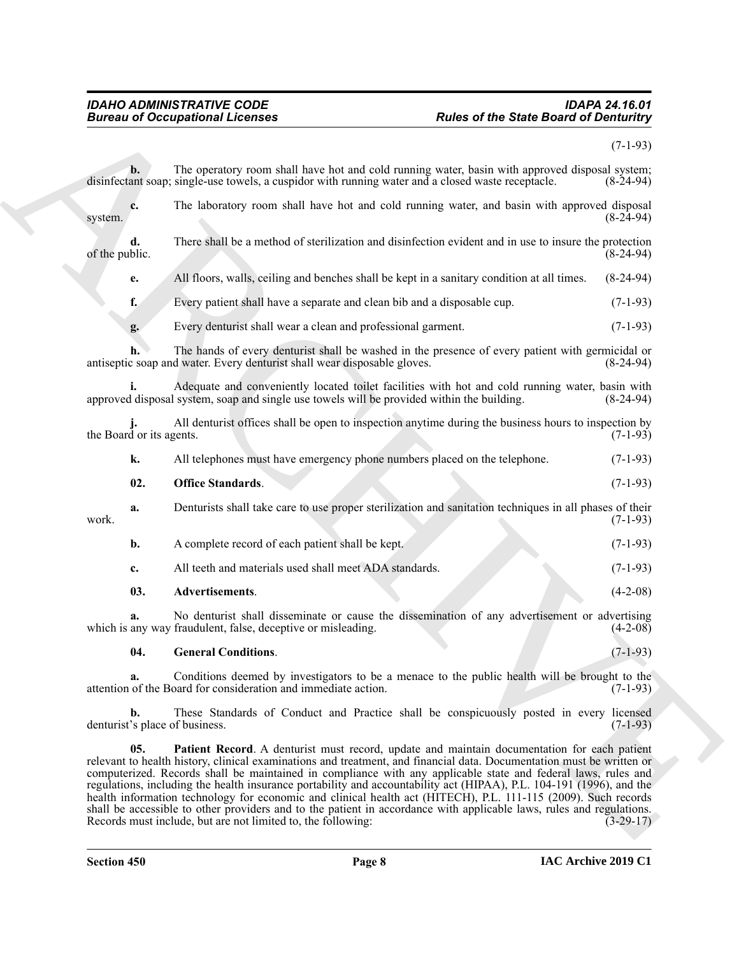#### <span id="page-7-3"></span><span id="page-7-2"></span><span id="page-7-1"></span><span id="page-7-0"></span>*IDAHO ADMINISTRATIVE CODE IDAPA 24.16.01 Bureau of Occupational Licenses Rules of the State Board of Denturitry*

|                                      | <b>Bureau of Occupational Licenses</b>                                                                                                                                                                                                                                                                                                                                                                                                                                                                                                                                                                                                                                                                                                                                  | <b>Rules of the State Board of Denturitry</b> |  |
|--------------------------------------|-------------------------------------------------------------------------------------------------------------------------------------------------------------------------------------------------------------------------------------------------------------------------------------------------------------------------------------------------------------------------------------------------------------------------------------------------------------------------------------------------------------------------------------------------------------------------------------------------------------------------------------------------------------------------------------------------------------------------------------------------------------------------|-----------------------------------------------|--|
|                                      |                                                                                                                                                                                                                                                                                                                                                                                                                                                                                                                                                                                                                                                                                                                                                                         | $(7-1-93)$                                    |  |
| $b$ .                                | The operatory room shall have hot and cold running water, basin with approved disposal system;<br>disinfectant soap; single-use towels, a cuspidor with running water and a closed waste receptacle.                                                                                                                                                                                                                                                                                                                                                                                                                                                                                                                                                                    | $(8-24-94)$                                   |  |
| c.<br>system.                        | The laboratory room shall have hot and cold running water, and basin with approved disposal                                                                                                                                                                                                                                                                                                                                                                                                                                                                                                                                                                                                                                                                             | $(8-24-94)$                                   |  |
| d.<br>of the public.                 | There shall be a method of sterilization and disinfection evident and in use to insure the protection                                                                                                                                                                                                                                                                                                                                                                                                                                                                                                                                                                                                                                                                   | $(8-24-94)$                                   |  |
| e.                                   | All floors, walls, ceiling and benches shall be kept in a sanitary condition at all times.                                                                                                                                                                                                                                                                                                                                                                                                                                                                                                                                                                                                                                                                              | $(8-24-94)$                                   |  |
| f.                                   | Every patient shall have a separate and clean bib and a disposable cup.                                                                                                                                                                                                                                                                                                                                                                                                                                                                                                                                                                                                                                                                                                 | $(7-1-93)$                                    |  |
| g.                                   | Every denturist shall wear a clean and professional garment.                                                                                                                                                                                                                                                                                                                                                                                                                                                                                                                                                                                                                                                                                                            | $(7-1-93)$                                    |  |
|                                      | The hands of every denturist shall be washed in the presence of every patient with germicidal or<br>antiseptic soap and water. Every denturist shall wear disposable gloves.                                                                                                                                                                                                                                                                                                                                                                                                                                                                                                                                                                                            | $(8-24-94)$                                   |  |
|                                      | Adequate and conveniently located toilet facilities with hot and cold running water, basin with<br>approved disposal system, soap and single use towels will be provided within the building.                                                                                                                                                                                                                                                                                                                                                                                                                                                                                                                                                                           | $(8-24-94)$                                   |  |
| the Board or its agents.             | All denturist offices shall be open to inspection anytime during the business hours to inspection by                                                                                                                                                                                                                                                                                                                                                                                                                                                                                                                                                                                                                                                                    | $(7-1-93)$                                    |  |
| k.                                   | All telephones must have emergency phone numbers placed on the telephone.                                                                                                                                                                                                                                                                                                                                                                                                                                                                                                                                                                                                                                                                                               | $(7-1-93)$                                    |  |
| 02.                                  | <b>Office Standards.</b>                                                                                                                                                                                                                                                                                                                                                                                                                                                                                                                                                                                                                                                                                                                                                | $(7-1-93)$                                    |  |
| a.<br>work.                          | Denturists shall take care to use proper sterilization and sanitation techniques in all phases of their                                                                                                                                                                                                                                                                                                                                                                                                                                                                                                                                                                                                                                                                 | $(7-1-93)$                                    |  |
| b.                                   | A complete record of each patient shall be kept.                                                                                                                                                                                                                                                                                                                                                                                                                                                                                                                                                                                                                                                                                                                        | $(7-1-93)$                                    |  |
| c.                                   | All teeth and materials used shall meet ADA standards.                                                                                                                                                                                                                                                                                                                                                                                                                                                                                                                                                                                                                                                                                                                  | $(7-1-93)$                                    |  |
| 03.                                  | Advertisements.                                                                                                                                                                                                                                                                                                                                                                                                                                                                                                                                                                                                                                                                                                                                                         | $(4-2-08)$                                    |  |
| a.                                   | No denturist shall disseminate or cause the dissemination of any advertisement or advertising<br>which is any way fraudulent, false, deceptive or misleading.                                                                                                                                                                                                                                                                                                                                                                                                                                                                                                                                                                                                           | $(4-2-08)$                                    |  |
| 04.                                  | <b>General Conditions.</b>                                                                                                                                                                                                                                                                                                                                                                                                                                                                                                                                                                                                                                                                                                                                              | $(7-1-93)$                                    |  |
| a.                                   | Conditions deemed by investigators to be a menace to the public health will be brought to the<br>attention of the Board for consideration and immediate action.                                                                                                                                                                                                                                                                                                                                                                                                                                                                                                                                                                                                         | $(7-1-93)$                                    |  |
| b.<br>denturist's place of business. | These Standards of Conduct and Practice shall be conspicuously posted in every licensed                                                                                                                                                                                                                                                                                                                                                                                                                                                                                                                                                                                                                                                                                 | $(7-1-93)$                                    |  |
| 05.                                  | Patient Record. A denturist must record, update and maintain documentation for each patient<br>relevant to health history, clinical examinations and treatment, and financial data. Documentation must be written or<br>computerized. Records shall be maintained in compliance with any applicable state and federal laws, rules and<br>regulations, including the health insurance portability and accountability act (HIPAA), P.L. 104-191 (1996), and the<br>health information technology for economic and clinical health act (HITECH), P.L. 111-115 (2009). Such records<br>shall be accessible to other providers and to the patient in accordance with applicable laws, rules and regulations.<br>Records must include, but are not limited to, the following: | $(3-29-17)$                                   |  |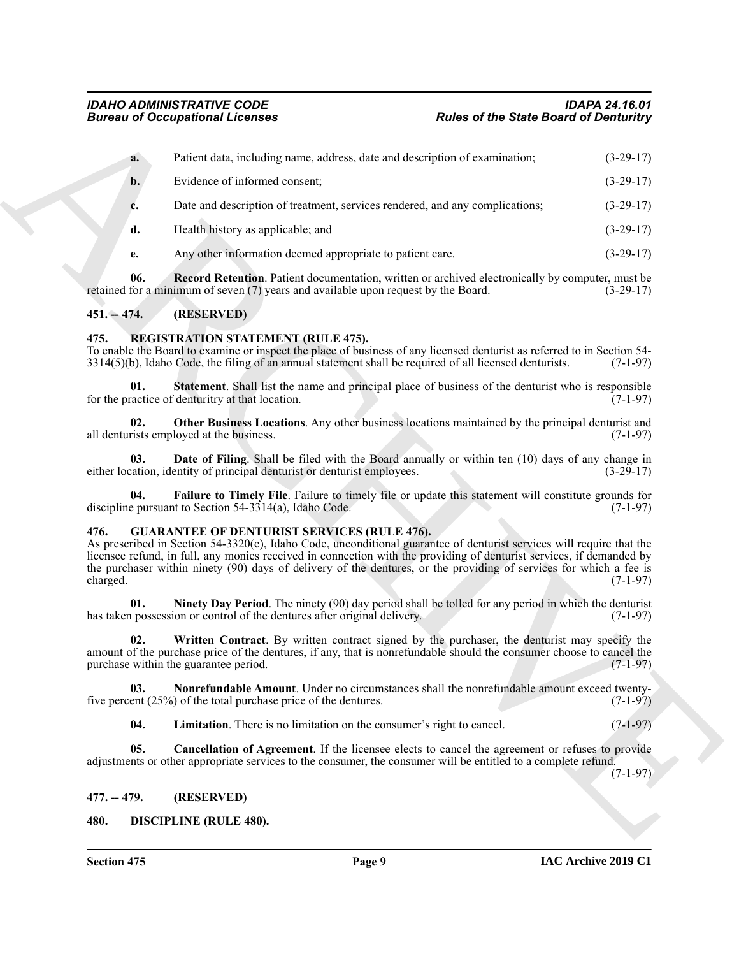| <b>Bureau of Occupational Licenses</b> |                                                                                                                                                                                                                                                                                                                                                                                                                          | <b>Rules of the State Board of Denturitry</b> |             |
|----------------------------------------|--------------------------------------------------------------------------------------------------------------------------------------------------------------------------------------------------------------------------------------------------------------------------------------------------------------------------------------------------------------------------------------------------------------------------|-----------------------------------------------|-------------|
| a.                                     | Patient data, including name, address, date and description of examination;                                                                                                                                                                                                                                                                                                                                              |                                               | $(3-29-17)$ |
| $b$ .                                  | Evidence of informed consent;                                                                                                                                                                                                                                                                                                                                                                                            |                                               | $(3-29-17)$ |
| c.                                     | Date and description of treatment, services rendered, and any complications;                                                                                                                                                                                                                                                                                                                                             |                                               | $(3-29-17)$ |
| d.                                     | Health history as applicable; and                                                                                                                                                                                                                                                                                                                                                                                        |                                               | $(3-29-17)$ |
| e.                                     | Any other information deemed appropriate to patient care.                                                                                                                                                                                                                                                                                                                                                                |                                               | $(3-29-17)$ |
| 06.                                    | <b>Record Retention.</b> Patient documentation, written or archived electronically by computer, must be<br>retained for a minimum of seven (7) years and available upon request by the Board.                                                                                                                                                                                                                            |                                               | $(3-29-17)$ |
| $451 - 474.$                           | (RESERVED)                                                                                                                                                                                                                                                                                                                                                                                                               |                                               |             |
| 475.                                   | <b>REGISTRATION STATEMENT (RULE 475).</b><br>To enable the Board to examine or inspect the place of business of any licensed denturist as referred to in Section 54-<br>$3314(5)(b)$ , Idaho Code, the filing of an annual statement shall be required of all licensed denturists.                                                                                                                                       |                                               | $(7-1-97)$  |
| 01.                                    | <b>Statement.</b> Shall list the name and principal place of business of the denturist who is responsible<br>for the practice of denturitry at that location.                                                                                                                                                                                                                                                            |                                               | $(7-1-97)$  |
| 02.                                    | Other Business Locations. Any other business locations maintained by the principal denturist and<br>all denturists employed at the business.                                                                                                                                                                                                                                                                             |                                               | $(7-1-97)$  |
| 03.                                    | <b>Date of Filing.</b> Shall be filed with the Board annually or within ten (10) days of any change in<br>either location, identity of principal denturist or denturist employees.                                                                                                                                                                                                                                       |                                               | $(3-29-17)$ |
| 04.                                    | Failure to Timely File. Failure to timely file or update this statement will constitute grounds for<br>discipline pursuant to Section 54-3314(a), Idaho Code.                                                                                                                                                                                                                                                            |                                               | $(7-1-97)$  |
| 476.<br>charged.                       | <b>GUARANTEE OF DENTURIST SERVICES (RULE 476).</b><br>As prescribed in Section 54-3320(c), Idaho Code, unconditional guarantee of denturist services will require that the<br>licensee refund, in full, any monies received in connection with the providing of denturist services, if demanded by<br>the purchaser within ninety (90) days of delivery of the dentures, or the providing of services for which a fee is |                                               | $(7-1-97)$  |
| 01.                                    | <b>Ninety Day Period.</b> The ninety (90) day period shall be tolled for any period in which the denturist<br>has taken possession or control of the dentures after original delivery.                                                                                                                                                                                                                                   |                                               | $(7-1-97)$  |
| 02.                                    | Written Contract. By written contract signed by the purchaser, the denturist may specify the<br>amount of the purchase price of the dentures, if any, that is nonrefundable should the consumer choose to cancel the<br>purchase within the guarantee period.                                                                                                                                                            |                                               | $(7-1-97)$  |
| 03.                                    | Nonrefundable Amount. Under no circumstances shall the nonrefundable amount exceed twenty-<br>five percent $(25%)$ of the total purchase price of the dentures.                                                                                                                                                                                                                                                          |                                               | $(7-1-97)$  |
| 04.                                    | Limitation. There is no limitation on the consumer's right to cancel.                                                                                                                                                                                                                                                                                                                                                    |                                               | $(7-1-97)$  |
| 05.                                    | Cancellation of Agreement. If the licensee elects to cancel the agreement or refuses to provide<br>adjustments or other appropriate services to the consumer, the consumer will be entitled to a complete refund.                                                                                                                                                                                                        |                                               | $(7-1-97)$  |
| $477. - 479.$                          | (RESERVED)                                                                                                                                                                                                                                                                                                                                                                                                               |                                               |             |
| 480.                                   | <b>DISCIPLINE (RULE 480).</b>                                                                                                                                                                                                                                                                                                                                                                                            |                                               |             |

#### <span id="page-8-0"></span>**451. -- 474. (RESERVED)**

#### <span id="page-8-16"></span><span id="page-8-15"></span><span id="page-8-12"></span><span id="page-8-1"></span>**475. REGISTRATION STATEMENT (RULE 475).**

#### <span id="page-8-14"></span><span id="page-8-13"></span><span id="page-8-11"></span><span id="page-8-10"></span><span id="page-8-9"></span><span id="page-8-8"></span><span id="page-8-7"></span><span id="page-8-6"></span><span id="page-8-5"></span><span id="page-8-4"></span><span id="page-8-3"></span><span id="page-8-2"></span>**476. GUARANTEE OF DENTURIST SERVICES (RULE 476).**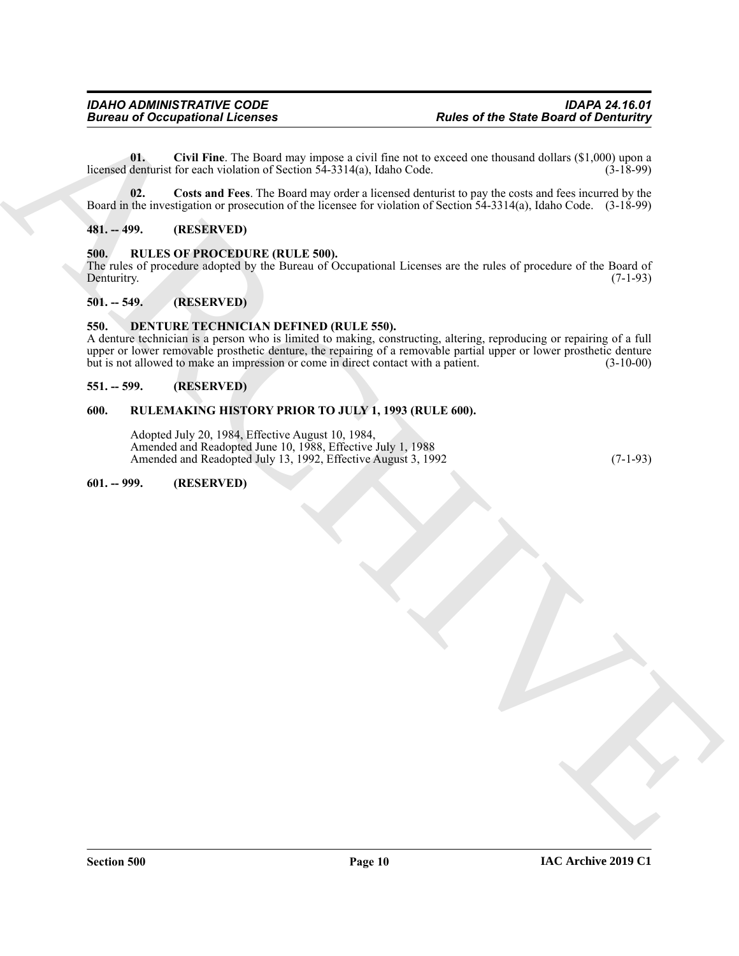<span id="page-9-8"></span>**01. Civil Fine**. The Board may impose a civil fine not to exceed one thousand dollars (\$1,000) upon a licensed denturist for each violation of Section  $54-3314(a)$ , Idaho Code. (3-18-99)

<span id="page-9-9"></span>**02. Costs and Fees**. The Board may order a licensed denturist to pay the costs and fees incurred by the Board in the investigation or prosecution of the licensee for violation of Section 54-3314(a), Idaho Code. (3-18-99)

#### <span id="page-9-0"></span>**481. -- 499. (RESERVED)**

#### <span id="page-9-10"></span><span id="page-9-1"></span>**500. RULES OF PROCEDURE (RULE 500).**

The rules of procedure adopted by the Bureau of Occupational Licenses are the rules of procedure of the Board of Denturity. (7-1-93) Denturitry. (7-1-93)

#### <span id="page-9-2"></span>**501. -- 549. (RESERVED)**

#### <span id="page-9-7"></span><span id="page-9-3"></span>**550. DENTURE TECHNICIAN DEFINED (RULE 550).**

Forces of Occupational Licenses<br>
Units (Contrast)  $\frac{1}{2}$  (Eq. 1976). The Unit of the State Board of Demonstration and the contrast of the State Board of Demonstration and the Unit of Network (West the Unit of Network ( A denture technician is a person who is limited to making, constructing, altering, reproducing or repairing of a full upper or lower removable prosthetic denture, the repairing of a removable partial upper or lower prosthetic denture but is not allowed to make an impression or come in direct contact with a patient. (3-10-00)

#### <span id="page-9-4"></span>**551. -- 599. (RESERVED)**

#### <span id="page-9-5"></span>**600. RULEMAKING HISTORY PRIOR TO JULY 1, 1993 (RULE 600).**

Adopted July 20, 1984, Effective August 10, 1984, Amended and Readopted June 10, 1988, Effective July 1, 1988 Amended and Readopted July 13, 1992, Effective August 3, 1992 (7-1-93)

#### <span id="page-9-6"></span>**601. -- 999. (RESERVED)**